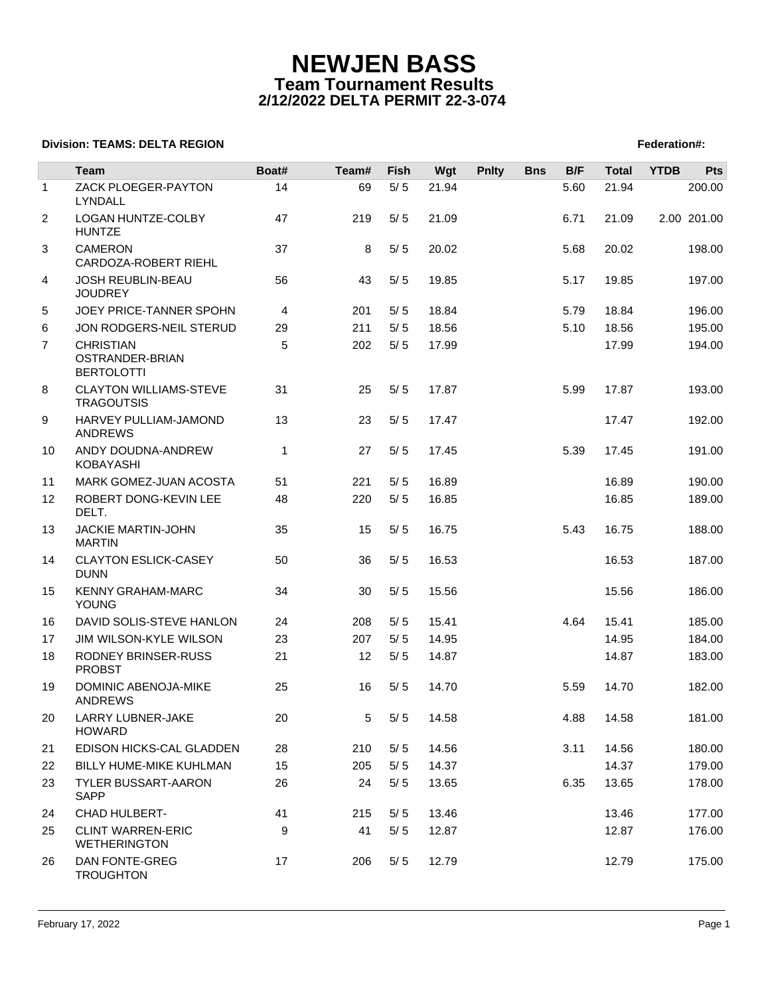# **NEWJEN BASS Team Tournament Results 2/12/2022 DELTA PERMIT 22-3-074**

## **Division: TEAMS: DELTA REGION FEDERATION FEDERATION: TEAMS: DELTA REGION**

|                | Team                                                     | Boat#        | Team#          | Fish  | Wgt   | <b>Pnlty</b> | <b>Bns</b> | B/F  | <b>Total</b> | <b>YTDB</b> | <b>Pts</b>  |
|----------------|----------------------------------------------------------|--------------|----------------|-------|-------|--------------|------------|------|--------------|-------------|-------------|
| $\mathbf{1}$   | ZACK PLOEGER-PAYTON<br><b>LYNDALL</b>                    | 14           | 69             | $5/5$ | 21.94 |              |            | 5.60 | 21.94        |             | 200.00      |
| $\overline{2}$ | LOGAN HUNTZE-COLBY<br><b>HUNTZE</b>                      | 47           | 219            | 5/5   | 21.09 |              |            | 6.71 | 21.09        |             | 2.00 201.00 |
| 3              | <b>CAMERON</b><br>CARDOZA-ROBERT RIEHL                   | 37           | 8              | 5/5   | 20.02 |              |            | 5.68 | 20.02        |             | 198.00      |
| 4              | <b>JOSH REUBLIN-BEAU</b><br><b>JOUDREY</b>               | 56           | 43             | 5/5   | 19.85 |              |            | 5.17 | 19.85        |             | 197.00      |
| 5              | JOEY PRICE-TANNER SPOHN                                  | 4            | 201            | 5/5   | 18.84 |              |            | 5.79 | 18.84        |             | 196.00      |
| 6              | JON RODGERS-NEIL STERUD                                  | 29           | 211            | 5/5   | 18.56 |              |            | 5.10 | 18.56        |             | 195.00      |
| $\overline{7}$ | <b>CHRISTIAN</b><br>OSTRANDER-BRIAN<br><b>BERTOLOTTI</b> | 5            | 202            | 5/5   | 17.99 |              |            |      | 17.99        |             | 194.00      |
| 8              | <b>CLAYTON WILLIAMS-STEVE</b><br><b>TRAGOUTSIS</b>       | 31           | 25             | 5/5   | 17.87 |              |            | 5.99 | 17.87        |             | 193.00      |
| 9              | HARVEY PULLIAM-JAMOND<br><b>ANDREWS</b>                  | 13           | 23             | 5/5   | 17.47 |              |            |      | 17.47        |             | 192.00      |
| 10             | ANDY DOUDNA-ANDREW<br><b>KOBAYASHI</b>                   | $\mathbf{1}$ | 27             | 5/5   | 17.45 |              |            | 5.39 | 17.45        |             | 191.00      |
| 11             | MARK GOMEZ-JUAN ACOSTA                                   | 51           | 221            | 5/5   | 16.89 |              |            |      | 16.89        |             | 190.00      |
| 12             | ROBERT DONG-KEVIN LEE<br>DELT.                           | 48           | 220            | 5/5   | 16.85 |              |            |      | 16.85        |             | 189.00      |
| 13             | JACKIE MARTIN-JOHN<br><b>MARTIN</b>                      | 35           | 15             | 5/5   | 16.75 |              |            | 5.43 | 16.75        |             | 188.00      |
| 14             | <b>CLAYTON ESLICK-CASEY</b><br><b>DUNN</b>               | 50           | 36             | 5/5   | 16.53 |              |            |      | 16.53        |             | 187.00      |
| 15             | <b>KENNY GRAHAM-MARC</b><br>YOUNG                        | 34           | 30             | 5/5   | 15.56 |              |            |      | 15.56        |             | 186.00      |
| 16             | DAVID SOLIS-STEVE HANLON                                 | 24           | 208            | 5/5   | 15.41 |              |            | 4.64 | 15.41        |             | 185.00      |
| 17             | <b>JIM WILSON-KYLE WILSON</b>                            | 23           | 207            | 5/5   | 14.95 |              |            |      | 14.95        |             | 184.00      |
| 18             | <b>RODNEY BRINSER-RUSS</b><br><b>PROBST</b>              | 21           | 12             | 5/5   | 14.87 |              |            |      | 14.87        |             | 183.00      |
| 19             | DOMINIC ABENOJA-MIKE<br><b>ANDREWS</b>                   | 25           | 16             | 5/5   | 14.70 |              |            | 5.59 | 14.70        |             | 182.00      |
| 20             | LARRY LUBNER-JAKE<br><b>HOWARD</b>                       | 20           | 5 <sup>5</sup> | 5/5   | 14.58 |              |            | 4.88 | 14.58        |             | 181.00      |
| 21             | EDISON HICKS-CAL GLADDEN                                 | 28           | 210            | 5/5   | 14.56 |              |            | 3.11 | 14.56        |             | 180.00      |
| 22             | <b>BILLY HUME-MIKE KUHLMAN</b>                           | 15           | 205            | $5/5$ | 14.37 |              |            |      | 14.37        |             | 179.00      |
| 23             | <b>TYLER BUSSART-AARON</b><br>SAPP                       | 26           | 24             | 5/5   | 13.65 |              |            | 6.35 | 13.65        |             | 178.00      |
| 24             | CHAD HULBERT-                                            | 41           | 215            | 5/5   | 13.46 |              |            |      | 13.46        |             | 177.00      |
| 25             | <b>CLINT WARREN-ERIC</b><br><b>WETHERINGTON</b>          | 9            | 41             | 5/5   | 12.87 |              |            |      | 12.87        |             | 176.00      |
| 26             | <b>DAN FONTE-GREG</b><br><b>TROUGHTON</b>                | 17           | 206            | 5/5   | 12.79 |              |            |      | 12.79        |             | 175.00      |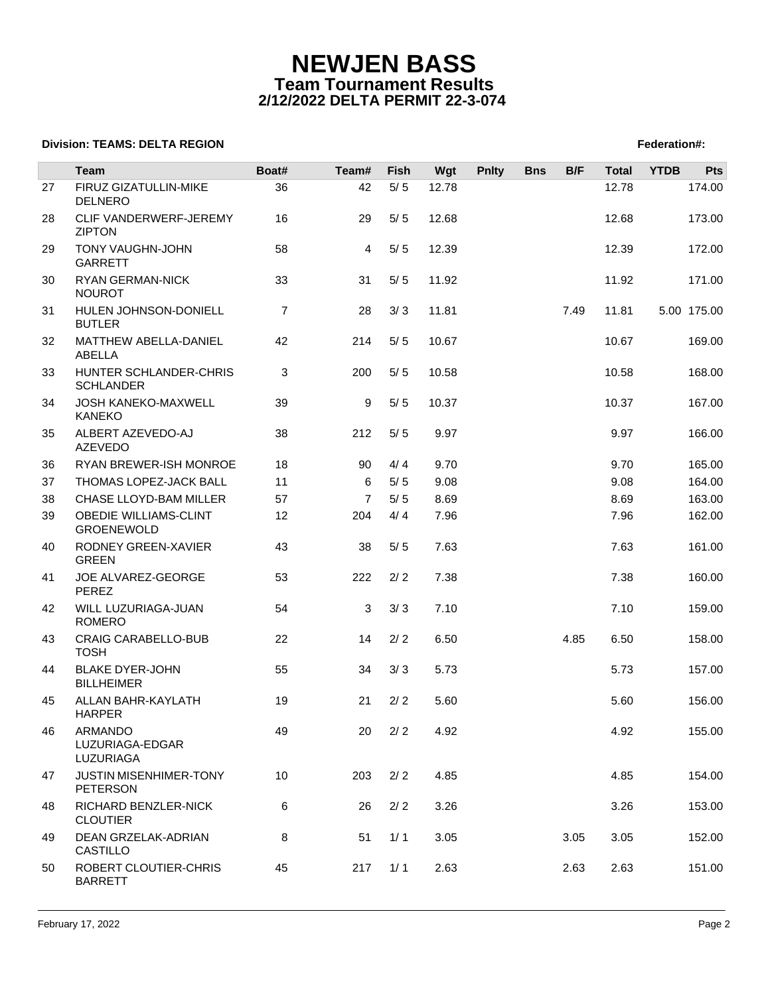## **NEWJEN BASS Team Tournament Results 2/12/2022 DELTA PERMIT 22-3-074**

## **Division: TEAMS: DELTA REGION FEDERATION FEDERATION: TEAMS: DELTA REGION**

|    | <b>Team</b>                                       | Boat#          | Team#          | Fish  | Wgt   | <b>Pnlty</b> | <b>Bns</b> | B/F  | <b>Total</b> | <b>YTDB</b> | <b>Pts</b>  |
|----|---------------------------------------------------|----------------|----------------|-------|-------|--------------|------------|------|--------------|-------------|-------------|
|    |                                                   |                |                |       |       |              |            |      |              |             |             |
| 27 | FIRUZ GIZATULLIN-MIKE<br><b>DELNERO</b>           | 36             | 42             | $5/5$ | 12.78 |              |            |      | 12.78        |             | 174.00      |
| 28 | CLIF VANDERWERF-JEREMY<br><b>ZIPTON</b>           | 16             | 29             | 5/5   | 12.68 |              |            |      | 12.68        |             | 173.00      |
| 29 | TONY VAUGHN-JOHN<br><b>GARRETT</b>                | 58             | 4              | 5/5   | 12.39 |              |            |      | 12.39        |             | 172.00      |
| 30 | <b>RYAN GERMAN-NICK</b><br><b>NOUROT</b>          | 33             | 31             | 5/5   | 11.92 |              |            |      | 11.92        |             | 171.00      |
| 31 | HULEN JOHNSON-DONIELL<br><b>BUTLER</b>            | $\overline{7}$ | 28             | 3/3   | 11.81 |              |            | 7.49 | 11.81        |             | 5.00 175.00 |
| 32 | MATTHEW ABELLA-DANIEL<br>ABELLA                   | 42             | 214            | $5/5$ | 10.67 |              |            |      | 10.67        |             | 169.00      |
| 33 | HUNTER SCHLANDER-CHRIS<br><b>SCHLANDER</b>        | 3              | 200            | 5/5   | 10.58 |              |            |      | 10.58        |             | 168.00      |
| 34 | <b>JOSH KANEKO-MAXWELL</b><br><b>KANEKO</b>       | 39             | 9              | 5/5   | 10.37 |              |            |      | 10.37        |             | 167.00      |
| 35 | ALBERT AZEVEDO-AJ<br><b>AZEVEDO</b>               | 38             | 212            | 5/5   | 9.97  |              |            |      | 9.97         |             | 166.00      |
| 36 | <b>RYAN BREWER-ISH MONROE</b>                     | 18             | 90             | 4/4   | 9.70  |              |            |      | 9.70         |             | 165.00      |
| 37 | THOMAS LOPEZ-JACK BALL                            | 11             | 6              | $5/5$ | 9.08  |              |            |      | 9.08         |             | 164.00      |
| 38 | CHASE LLOYD-BAM MILLER                            | 57             | $\overline{7}$ | 5/5   | 8.69  |              |            |      | 8.69         |             | 163.00      |
| 39 | <b>OBEDIE WILLIAMS-CLINT</b><br><b>GROENEWOLD</b> | 12             | 204            | 4/4   | 7.96  |              |            |      | 7.96         |             | 162.00      |
| 40 | RODNEY GREEN-XAVIER<br><b>GREEN</b>               | 43             | 38             | 5/5   | 7.63  |              |            |      | 7.63         |             | 161.00      |
| 41 | JOE ALVAREZ-GEORGE<br>PEREZ                       | 53             | 222            | 2/2   | 7.38  |              |            |      | 7.38         |             | 160.00      |
| 42 | WILL LUZURIAGA-JUAN<br><b>ROMERO</b>              | 54             | 3              | 3/3   | 7.10  |              |            |      | 7.10         |             | 159.00      |
| 43 | <b>CRAIG CARABELLO-BUB</b><br><b>TOSH</b>         | 22             | 14             | 2/2   | 6.50  |              |            | 4.85 | 6.50         |             | 158.00      |
| 44 | <b>BLAKE DYER-JOHN</b><br><b>BILLHEIMER</b>       | 55             | 34             | 3/3   | 5.73  |              |            |      | 5.73         |             | 157.00      |
| 45 | ALLAN BAHR-KAYLATH<br><b>HARPER</b>               | 19             | 21             | 2/2   | 5.60  |              |            |      | 5.60         |             | 156.00      |
| 46 | ARMANDO<br>LUZURIAGA-EDGAR<br>LUZURIAGA           | 49             | 20             | 2/2   | 4.92  |              |            |      | 4.92         |             | 155.00      |
| 47 | <b>JUSTIN MISENHIMER-TONY</b><br><b>PETERSON</b>  | 10             | 203            | 2/2   | 4.85  |              |            |      | 4.85         |             | 154.00      |
| 48 | RICHARD BENZLER-NICK<br><b>CLOUTIER</b>           | 6              | 26             | 2/2   | 3.26  |              |            |      | 3.26         |             | 153.00      |
| 49 | DEAN GRZELAK-ADRIAN<br>CASTILLO                   | 8              | 51             | 1/1   | 3.05  |              |            | 3.05 | 3.05         |             | 152.00      |
| 50 | ROBERT CLOUTIER-CHRIS<br><b>BARRETT</b>           | 45             | 217            | 1/1   | 2.63  |              |            | 2.63 | 2.63         |             | 151.00      |